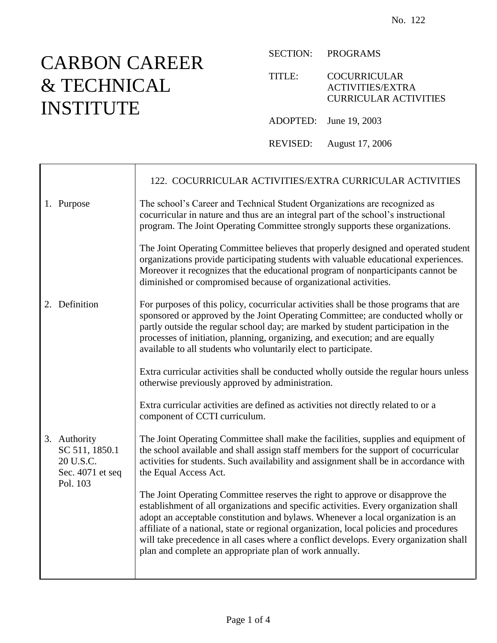## CARBON CAREER & TECHNICAL INSTITUTE

┯

 $\mathsf{r}$ 

SECTION: PROGRAMS

TITLE: COCURRICULAR ACTIVITIES/EXTRA CURRICULAR ACTIVITIES

ADOPTED: June 19, 2003

REVISED: August 17, 2006

|                                                                             | 122. COCURRICULAR ACTIVITIES/EXTRA CURRICULAR ACTIVITIES                                                                                                                                                                                                                                                                                                                                                                                                                                                |
|-----------------------------------------------------------------------------|---------------------------------------------------------------------------------------------------------------------------------------------------------------------------------------------------------------------------------------------------------------------------------------------------------------------------------------------------------------------------------------------------------------------------------------------------------------------------------------------------------|
| 1. Purpose                                                                  | The school's Career and Technical Student Organizations are recognized as<br>cocurricular in nature and thus are an integral part of the school's instructional<br>program. The Joint Operating Committee strongly supports these organizations.                                                                                                                                                                                                                                                        |
|                                                                             | The Joint Operating Committee believes that properly designed and operated student<br>organizations provide participating students with valuable educational experiences.<br>Moreover it recognizes that the educational program of nonparticipants cannot be<br>diminished or compromised because of organizational activities.                                                                                                                                                                        |
| 2. Definition                                                               | For purposes of this policy, cocurricular activities shall be those programs that are<br>sponsored or approved by the Joint Operating Committee; are conducted wholly or<br>partly outside the regular school day; are marked by student participation in the<br>processes of initiation, planning, organizing, and execution; and are equally<br>available to all students who voluntarily elect to participate.                                                                                       |
|                                                                             | Extra curricular activities shall be conducted wholly outside the regular hours unless<br>otherwise previously approved by administration.                                                                                                                                                                                                                                                                                                                                                              |
|                                                                             | Extra curricular activities are defined as activities not directly related to or a<br>component of CCTI curriculum.                                                                                                                                                                                                                                                                                                                                                                                     |
| 3. Authority<br>SC 511, 1850.1<br>20 U.S.C.<br>Sec. 4071 et seq<br>Pol. 103 | The Joint Operating Committee shall make the facilities, supplies and equipment of<br>the school available and shall assign staff members for the support of cocurricular<br>activities for students. Such availability and assignment shall be in accordance with<br>the Equal Access Act.                                                                                                                                                                                                             |
|                                                                             | The Joint Operating Committee reserves the right to approve or disapprove the<br>establishment of all organizations and specific activities. Every organization shall<br>adopt an acceptable constitution and bylaws. Whenever a local organization is an<br>affiliate of a national, state or regional organization, local policies and procedures<br>will take precedence in all cases where a conflict develops. Every organization shall<br>plan and complete an appropriate plan of work annually. |
|                                                                             |                                                                                                                                                                                                                                                                                                                                                                                                                                                                                                         |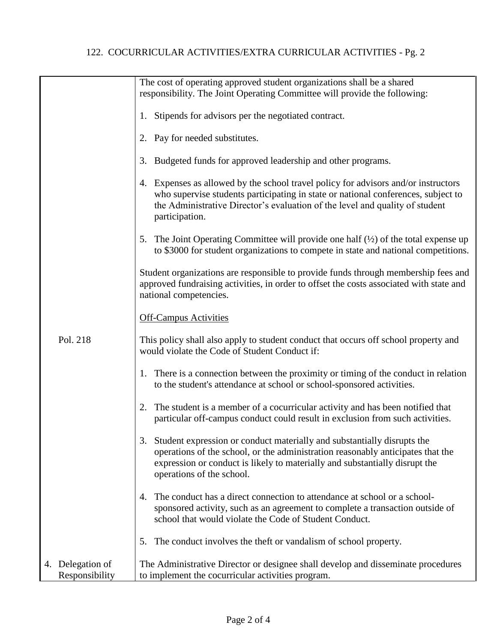## 122. COCURRICULAR ACTIVITIES/EXTRA CURRICULAR ACTIVITIES - Pg. 2

|                                    | The cost of operating approved student organizations shall be a shared<br>responsibility. The Joint Operating Committee will provide the following:                                                                                                                          |
|------------------------------------|------------------------------------------------------------------------------------------------------------------------------------------------------------------------------------------------------------------------------------------------------------------------------|
|                                    | Stipends for advisors per the negotiated contract.<br>1.                                                                                                                                                                                                                     |
|                                    | 2. Pay for needed substitutes.                                                                                                                                                                                                                                               |
|                                    | 3. Budgeted funds for approved leadership and other programs.                                                                                                                                                                                                                |
|                                    | Expenses as allowed by the school travel policy for advisors and/or instructors<br>4.<br>who supervise students participating in state or national conferences, subject to<br>the Administrative Director's evaluation of the level and quality of student<br>participation. |
|                                    | 5. The Joint Operating Committee will provide one half $(\frac{1}{2})$ of the total expense up<br>to \$3000 for student organizations to compete in state and national competitions.                                                                                         |
|                                    | Student organizations are responsible to provide funds through membership fees and<br>approved fundraising activities, in order to offset the costs associated with state and<br>national competencies.                                                                      |
|                                    | <b>Off-Campus Activities</b>                                                                                                                                                                                                                                                 |
| Pol. 218                           | This policy shall also apply to student conduct that occurs off school property and<br>would violate the Code of Student Conduct if:                                                                                                                                         |
|                                    | 1. There is a connection between the proximity or timing of the conduct in relation<br>to the student's attendance at school or school-sponsored activities.                                                                                                                 |
|                                    | The student is a member of a cocurricular activity and has been notified that<br>2.<br>particular off-campus conduct could result in exclusion from such activities.                                                                                                         |
|                                    | 3. Student expression or conduct materially and substantially disrupts the<br>operations of the school, or the administration reasonably anticipates that the<br>expression or conduct is likely to materially and substantially disrupt the<br>operations of the school.    |
|                                    | The conduct has a direct connection to attendance at school or a school-<br>4.<br>sponsored activity, such as an agreement to complete a transaction outside of<br>school that would violate the Code of Student Conduct.                                                    |
|                                    | The conduct involves the theft or vandalism of school property.<br>5.                                                                                                                                                                                                        |
| 4. Delegation of<br>Responsibility | The Administrative Director or designee shall develop and disseminate procedures<br>to implement the cocurricular activities program.                                                                                                                                        |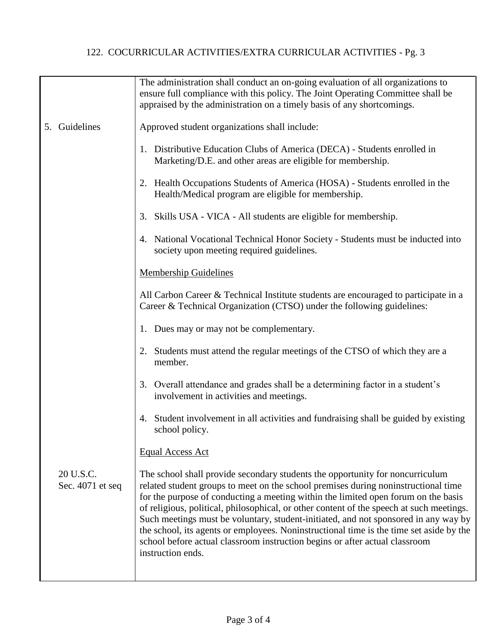## 122. COCURRICULAR ACTIVITIES/EXTRA CURRICULAR ACTIVITIES - Pg. 3

|                               | The administration shall conduct an on-going evaluation of all organizations to<br>ensure full compliance with this policy. The Joint Operating Committee shall be<br>appraised by the administration on a timely basis of any shortcomings.                                                                                                                                                                                                                                                                                                                                                                                                |
|-------------------------------|---------------------------------------------------------------------------------------------------------------------------------------------------------------------------------------------------------------------------------------------------------------------------------------------------------------------------------------------------------------------------------------------------------------------------------------------------------------------------------------------------------------------------------------------------------------------------------------------------------------------------------------------|
| 5. Guidelines                 | Approved student organizations shall include:                                                                                                                                                                                                                                                                                                                                                                                                                                                                                                                                                                                               |
|                               | 1. Distributive Education Clubs of America (DECA) - Students enrolled in<br>Marketing/D.E. and other areas are eligible for membership.                                                                                                                                                                                                                                                                                                                                                                                                                                                                                                     |
|                               | 2. Health Occupations Students of America (HOSA) - Students enrolled in the<br>Health/Medical program are eligible for membership.                                                                                                                                                                                                                                                                                                                                                                                                                                                                                                          |
|                               | 3. Skills USA - VICA - All students are eligible for membership.                                                                                                                                                                                                                                                                                                                                                                                                                                                                                                                                                                            |
|                               | 4. National Vocational Technical Honor Society - Students must be inducted into<br>society upon meeting required guidelines.                                                                                                                                                                                                                                                                                                                                                                                                                                                                                                                |
|                               | <b>Membership Guidelines</b>                                                                                                                                                                                                                                                                                                                                                                                                                                                                                                                                                                                                                |
|                               | All Carbon Career & Technical Institute students are encouraged to participate in a<br>Career & Technical Organization (CTSO) under the following guidelines:                                                                                                                                                                                                                                                                                                                                                                                                                                                                               |
|                               | 1. Dues may or may not be complementary.                                                                                                                                                                                                                                                                                                                                                                                                                                                                                                                                                                                                    |
|                               | Students must attend the regular meetings of the CTSO of which they are a<br>2.<br>member.                                                                                                                                                                                                                                                                                                                                                                                                                                                                                                                                                  |
|                               | 3. Overall attendance and grades shall be a determining factor in a student's<br>involvement in activities and meetings.                                                                                                                                                                                                                                                                                                                                                                                                                                                                                                                    |
|                               | Student involvement in all activities and fundraising shall be guided by existing<br>4.<br>school policy.                                                                                                                                                                                                                                                                                                                                                                                                                                                                                                                                   |
|                               | <b>Equal Access Act</b>                                                                                                                                                                                                                                                                                                                                                                                                                                                                                                                                                                                                                     |
| 20 U.S.C.<br>Sec. 4071 et seq | The school shall provide secondary students the opportunity for noncurriculum<br>related student groups to meet on the school premises during noninstructional time<br>for the purpose of conducting a meeting within the limited open forum on the basis<br>of religious, political, philosophical, or other content of the speech at such meetings.<br>Such meetings must be voluntary, student-initiated, and not sponsored in any way by<br>the school, its agents or employees. Noninstructional time is the time set aside by the<br>school before actual classroom instruction begins or after actual classroom<br>instruction ends. |
|                               |                                                                                                                                                                                                                                                                                                                                                                                                                                                                                                                                                                                                                                             |